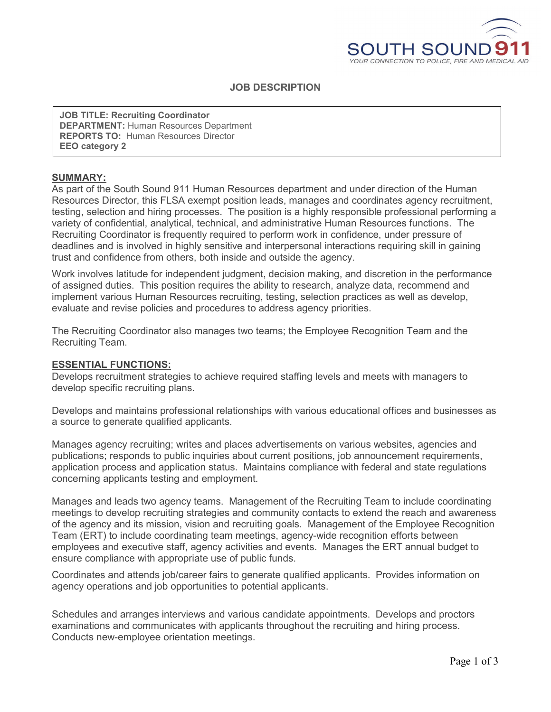

# **JOB DESCRIPTION**

**JOB TITLE: Recruiting Coordinator DEPARTMENT:** Human Resources Department **REPORTS TO:** Human Resources Director **EEO category 2**

#### **SUMMARY:**

As part of the South Sound 911 Human Resources department and under direction of the Human Resources Director, this FLSA exempt position leads, manages and coordinates agency recruitment, testing, selection and hiring processes. The position is a highly responsible professional performing a variety of confidential, analytical, technical, and administrative Human Resources functions. The Recruiting Coordinator is frequently required to perform work in confidence, under pressure of deadlines and is involved in highly sensitive and interpersonal interactions requiring skill in gaining trust and confidence from others, both inside and outside the agency.

Work involves latitude for independent judgment, decision making, and discretion in the performance of assigned duties. This position requires the ability to research, analyze data, recommend and implement various Human Resources recruiting, testing, selection practices as well as develop, evaluate and revise policies and procedures to address agency priorities.

The Recruiting Coordinator also manages two teams; the Employee Recognition Team and the Recruiting Team.

#### **ESSENTIAL FUNCTIONS:**

Develops recruitment strategies to achieve required staffing levels and meets with managers to develop specific recruiting plans.

Develops and maintains professional relationships with various educational offices and businesses as a source to generate qualified applicants.

Manages agency recruiting; writes and places advertisements on various websites, agencies and publications; responds to public inquiries about current positions, job announcement requirements, application process and application status. Maintains compliance with federal and state regulations concerning applicants testing and employment.

Manages and leads two agency teams. Management of the Recruiting Team to include coordinating meetings to develop recruiting strategies and community contacts to extend the reach and awareness of the agency and its mission, vision and recruiting goals. Management of the Employee Recognition Team (ERT) to include coordinating team meetings, agency-wide recognition efforts between employees and executive staff, agency activities and events. Manages the ERT annual budget to ensure compliance with appropriate use of public funds.

Coordinates and attends job/career fairs to generate qualified applicants. Provides information on agency operations and job opportunities to potential applicants.

Schedules and arranges interviews and various candidate appointments. Develops and proctors examinations and communicates with applicants throughout the recruiting and hiring process. Conducts new-employee orientation meetings.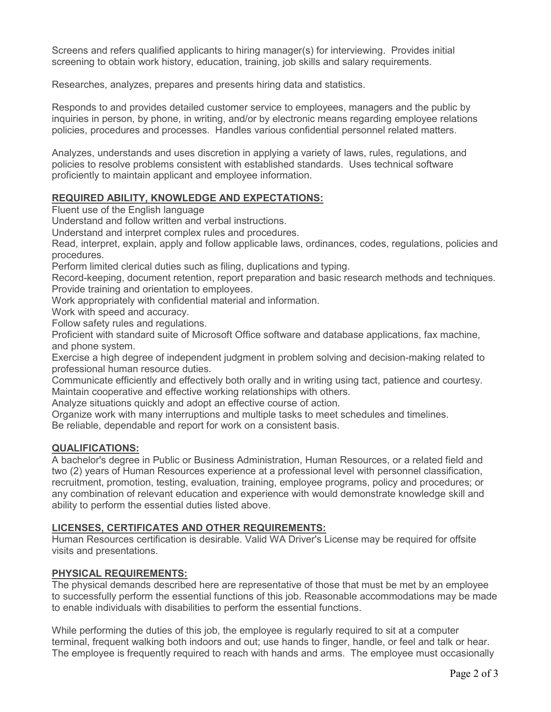Screens and refers qualified applicants to hiring manager(s) for interviewing. Provides initial screening to obtain work history, education, training, job skills and salary requirements.

Researches, analyzes, prepares and presents hiring data and statistics.

Responds to and provides detailed customer service to employees, managers and the public by inquiries in person, by phone, in writing, and/or by electronic means regarding employee relations policies, procedures and processes. Handles various confidential personnel related matters.

Analyzes, understands and uses discretion in applying a variety of laws, rules, regulations, and policies to resolve problems consistent with established standards. Uses technical software proficiently to maintain applicant and employee information.

# **REQUIRED ABILITY, KNOWLEDGE AND EXPECTATIONS:**

Fluent use of the English language

Understand and follow written and verbal instructions.

Understand and interpret complex rules and procedures.

Read, interpret, explain, apply and follow applicable laws, ordinances, codes, regulations, policies and procedures.

Perform limited clerical duties such as filing, duplications and typing.

Record-keeping, document retention, report preparation and basic research methods and techniques. Provide training and orientation to employees.

Work appropriately with confidential material and information.

Work with speed and accuracy.

Follow safety rules and regulations.

Proficient with standard suite of Microsoft Office software and database applications, fax machine, and phone system.

Exercise a high degree of independent judgment in problem solving and decision-making related to professional human resource duties.

Communicate efficiently and effectively both orally and in writing using tact, patience and courtesy. Maintain cooperative and effective working relationships with others.

Analyze situations quickly and adopt an effective course of action.

Organize work with many interruptions and multiple tasks to meet schedules and timelines. Be reliable, dependable and report for work on a consistent basis.

# **QUALIFICATIONS:**

A bachelor's degree in Public or Business Administration, Human Resources, or a related field and two (2) years of Human Resources experience at a professional level with personnel classification, recruitment, promotion, testing, evaluation, training, employee programs, policy and procedures; or any combination of relevant education and experience with would demonstrate knowledge skill and ability to perform the essential duties listed above.

### **LICENSES, CERTIFICATES AND OTHER REQUIREMENTS:**

Human Resources certification is desirable. Valid WA Driver's License may be required for offsite visits and presentations.

# **PHYSICAL REQUIREMENTS:**

The physical demands described here are representative of those that must be met by an employee to successfully perform the essential functions of this job. Reasonable accommodations may be made to enable individuals with disabilities to perform the essential functions.

While performing the duties of this job, the employee is regularly required to sit at a computer terminal, frequent walking both indoors and out; use hands to finger, handle, or feel and talk or hear. The employee is frequently required to reach with hands and arms. The employee must occasionally